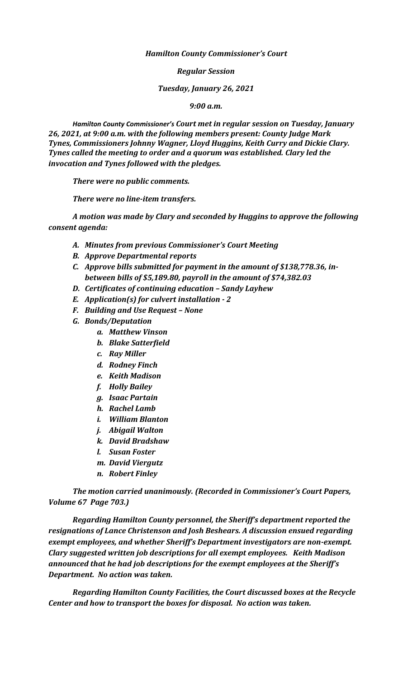*Hamilton County Commissioner's Court*

*Regular Session*

## *Tuesday, January 26, 2021*

*9:00 a.m.*

*Hamilton County Commissioner's Court met in regular session on Tuesday, January 26, 2021, at 9:00 a.m. with the following members present: County Judge Mark Tynes, Commissioners Johnny Wagner, Lloyd Huggins, Keith Curry and Dickie Clary. Tynes called the meeting to order and a quorum was established. Clary led the invocation and Tynes followed with the pledges.*

*There were no public comments.*

*There were no line-item transfers.*

*A motion was made by Clary and seconded by Huggins to approve the following consent agenda:*

- *A. Minutes from previous Commissioner's Court Meeting*
- *B. Approve Departmental reports*
- *C. Approve bills submitted for payment in the amount of \$138,778.36, inbetween bills of \$5,189.80, payroll in the amount of \$74,382.03*
- *D. Certificates of continuing education – Sandy Layhew*
- *E. Application(s) for culvert installation - 2*
- *F. Building and Use Request – None*
- *G. Bonds/Deputation*
	- *a. Matthew Vinson*
	- *b. Blake Satterfield*
	- *c. Ray Miller*
	- *d. Rodney Finch*
	- *e. Keith Madison*
	- *f. Holly Bailey*
	- *g. Isaac Partain*
	- *h. Rachel Lamb*
	- *i. William Blanton*
	- *j. Abigail Walton*
	- *k. David Bradshaw*
	- *l. Susan Foster*
	- *m. David Viergutz*
	- *n. Robert Finley*

*The motion carried unanimously. (Recorded in Commissioner's Court Papers, Volume 67 Page 703.)*

*Regarding Hamilton County personnel, the Sheriff's department reported the resignations of Lance Christenson and Josh Beshears. A discussion ensued regarding exempt employees, and whether Sheriff's Department investigators are non-exempt. Clary suggested written job descriptions for all exempt employees. Keith Madison announced that he had job descriptions for the exempt employees at the Sheriff's Department. No action was taken.*

*Regarding Hamilton County Facilities, the Court discussed boxes at the Recycle Center and how to transport the boxes for disposal. No action was taken.*